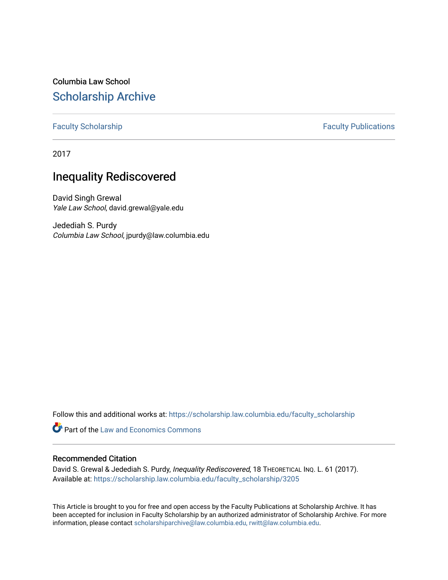Columbia Law School [Scholarship Archive](https://scholarship.law.columbia.edu/) 

[Faculty Scholarship](https://scholarship.law.columbia.edu/faculty_scholarship) **Faculty Publications** 

2017

# Inequality Rediscovered

David Singh Grewal Yale Law School, david.grewal@yale.edu

Jedediah S. Purdy Columbia Law School, jpurdy@law.columbia.edu

Follow this and additional works at: [https://scholarship.law.columbia.edu/faculty\\_scholarship](https://scholarship.law.columbia.edu/faculty_scholarship?utm_source=scholarship.law.columbia.edu%2Ffaculty_scholarship%2F3205&utm_medium=PDF&utm_campaign=PDFCoverPages)

**Part of the Law and Economics Commons** 

# Recommended Citation

David S. Grewal & Jedediah S. Purdy, Inequality Rediscovered, 18 THEORETICAL INQ. L. 61 (2017). Available at: [https://scholarship.law.columbia.edu/faculty\\_scholarship/3205](https://scholarship.law.columbia.edu/faculty_scholarship/3205?utm_source=scholarship.law.columbia.edu%2Ffaculty_scholarship%2F3205&utm_medium=PDF&utm_campaign=PDFCoverPages)

This Article is brought to you for free and open access by the Faculty Publications at Scholarship Archive. It has been accepted for inclusion in Faculty Scholarship by an authorized administrator of Scholarship Archive. For more information, please contact [scholarshiparchive@law.columbia.edu, rwitt@law.columbia.edu](mailto:scholarshiparchive@law.columbia.edu,%20rwitt@law.columbia.edu).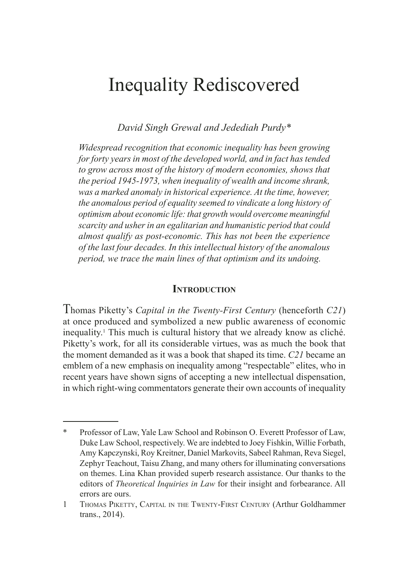# Inequality Rediscovered

*David Singh Grewal and Jedediah Purdy\**

*Widespread recognition that economic inequality has been growing for forty years in most of the developed world, and in fact has tended to grow across most of the history of modern economies, shows that the period 1945-1973, when inequality of wealth and income shrank, was a marked anomaly in historical experience. At the time, however, the anomalous period of equality seemed to vindicate a long history of optimism about economic life: that growth would overcome meaningful scarcity and usher in an egalitarian and humanistic period that could almost qualify as post-economic. This has not been the experience of the last four decades. In this intellectual history of the anomalous period, we trace the main lines of that optimism and its undoing.*

## **INTRODUCTION**

Thomas Piketty's *Capital in the Twenty-First Century* (henceforth *C21*) at once produced and symbolized a new public awareness of economic inequality.1 This much is cultural history that we already know as cliché. Piketty's work, for all its considerable virtues, was as much the book that the moment demanded as it was a book that shaped its time. *C21* became an emblem of a new emphasis on inequality among "respectable" elites, who in recent years have shown signs of accepting a new intellectual dispensation, in which right-wing commentators generate their own accounts of inequality

Professor of Law, Yale Law School and Robinson O. Everett Professor of Law, Duke Law School, respectively. We are indebted to Joey Fishkin, Willie Forbath, Amy Kapczynski, Roy Kreitner, Daniel Markovits, Sabeel Rahman, Reva Siegel, Zephyr Teachout, Taisu Zhang, and many others for illuminating conversations on themes. Lina Khan provided superb research assistance. Our thanks to the editors of *Theoretical Inquiries in Law* for their insight and forbearance. All errors are ours.

<sup>1</sup> Thomas Piketty, Capital in the Twenty-First Century (Arthur Goldhammer trans., 2014).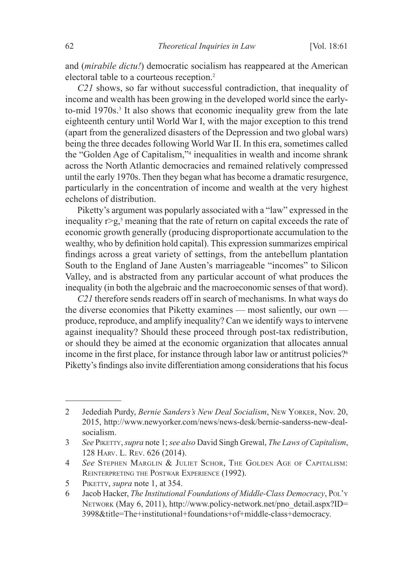and (*mirabile dictu!*) democratic socialism has reappeared at the American electoral table to a courteous reception.2

*C21* shows, so far without successful contradiction, that inequality of income and wealth has been growing in the developed world since the earlyto-mid 1970s.<sup>3</sup> It also shows that economic inequality grew from the late eighteenth century until World War I, with the major exception to this trend (apart from the generalized disasters of the Depression and two global wars) being the three decades following World War II. In this era, sometimes called the "Golden Age of Capitalism,"4 inequalities in wealth and income shrank across the North Atlantic democracies and remained relatively compressed until the early 1970s. Then they began what has become a dramatic resurgence, particularly in the concentration of income and wealth at the very highest echelons of distribution.

Piketty's argument was popularly associated with a "law" expressed in the inequality  $r > g$ ,<sup>5</sup> meaning that the rate of return on capital exceeds the rate of economic growth generally (producing disproportionate accumulation to the wealthy, who by definition hold capital). This expression summarizes empirical findings across a great variety of settings, from the antebellum plantation South to the England of Jane Austen's marriageable "incomes" to Silicon Valley, and is abstracted from any particular account of what produces the inequality (in both the algebraic and the macroeconomic senses of that word).

*C21* therefore sends readers off in search of mechanisms. In what ways do the diverse economies that Piketty examines — most saliently, our own produce, reproduce, and amplify inequality? Can we identify ways to intervene against inequality? Should these proceed through post-tax redistribution, or should they be aimed at the economic organization that allocates annual income in the first place, for instance through labor law or antitrust policies?<sup>6</sup> Piketty's findings also invite differentiation among considerations that his focus

<sup>2</sup> Jedediah Purdy, *Bernie Sanders's New Deal Socialism*, New Yorker, Nov. 20, 2015, http://www.newyorker.com/news/news-desk/bernie-sanderss-new-dealsocialism.

<sup>3</sup> *See* Piketty, *supra* note 1; *see also* David Singh Grewal, *The Laws of Capitalism*, 128 Harv. L. Rev. 626 (2014).

<sup>4</sup> *See* Stephen Marglin & Juliet Schor, The Golden Age of Capitalism: REINTERPRETING THE POSTWAR EXPERIENCE (1992).

<sup>5</sup> Piketty, *supra* note 1, at 354.

<sup>6</sup> Jacob Hacker, *The Institutional Foundations of Middle-Class Democracy*, Pol'y NETWORK (May 6, 2011), http://www.policy-network.net/pno\_detail.aspx?ID= 3998&title=The+institutional+foundations+of+middle-class+democracy.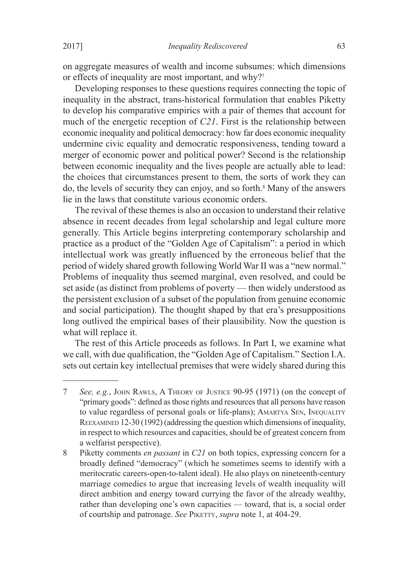on aggregate measures of wealth and income subsumes: which dimensions or effects of inequality are most important, and why?7

Developing responses to these questions requires connecting the topic of inequality in the abstract, trans-historical formulation that enables Piketty to develop his comparative empirics with a pair of themes that account for much of the energetic reception of *C21*. First is the relationship between economic inequality and political democracy: how far does economic inequality undermine civic equality and democratic responsiveness, tending toward a merger of economic power and political power? Second is the relationship between economic inequality and the lives people are actually able to lead: the choices that circumstances present to them, the sorts of work they can do, the levels of security they can enjoy, and so forth.8 Many of the answers lie in the laws that constitute various economic orders.

The revival of these themes is also an occasion to understand their relative absence in recent decades from legal scholarship and legal culture more generally. This Article begins interpreting contemporary scholarship and practice as a product of the "Golden Age of Capitalism": a period in which intellectual work was greatly influenced by the erroneous belief that the period of widely shared growth following World War II was a "new normal." Problems of inequality thus seemed marginal, even resolved, and could be set aside (as distinct from problems of poverty — then widely understood as the persistent exclusion of a subset of the population from genuine economic and social participation). The thought shaped by that era's presuppositions long outlived the empirical bases of their plausibility. Now the question is what will replace it.

The rest of this Article proceeds as follows. In Part I, we examine what we call, with due qualification, the "Golden Age of Capitalism." Section I.A. sets out certain key intellectual premises that were widely shared during this

<sup>7</sup> *See, e.g.*, John Rawls, A Theory of Justice 90-95 (1971) (on the concept of "primary goods": defined as those rights and resources that all persons have reason to value regardless of personal goals or life-plans); Amartya Sen, Inequality Reexamined 12-30 (1992) (addressing the question which dimensions of inequality, in respect to which resources and capacities, should be of greatest concern from a welfarist perspective).

<sup>8</sup> Piketty comments *en passant* in *C21* on both topics, expressing concern for a broadly defined "democracy" (which he sometimes seems to identify with a meritocratic careers-open-to-talent ideal). He also plays on nineteenth-century marriage comedies to argue that increasing levels of wealth inequality will direct ambition and energy toward currying the favor of the already wealthy, rather than developing one's own capacities — toward, that is, a social order of courtship and patronage. *See* Piketty, *supra* note 1, at 404-29.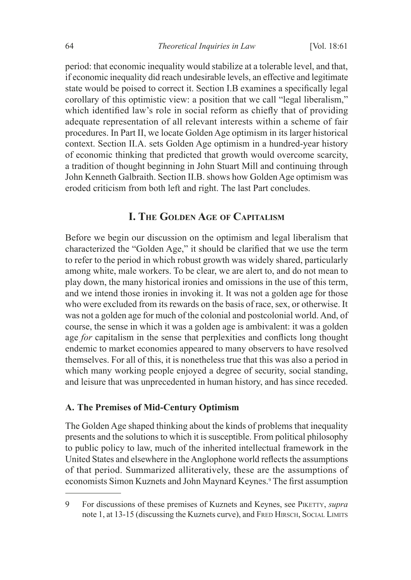period: that economic inequality would stabilize at a tolerable level, and that, if economic inequality did reach undesirable levels, an effective and legitimate state would be poised to correct it. Section I.B examines a specifically legal corollary of this optimistic view: a position that we call "legal liberalism," which identified law's role in social reform as chiefly that of providing adequate representation of all relevant interests within a scheme of fair procedures. In Part II, we locate Golden Age optimism in its larger historical context. Section II.A. sets Golden Age optimism in a hundred-year history of economic thinking that predicted that growth would overcome scarcity, a tradition of thought beginning in John Stuart Mill and continuing through John Kenneth Galbraith. Section II.B. shows how Golden Age optimism was eroded criticism from both left and right. The last Part concludes.

# **I. The Golden Age of Capitalism**

Before we begin our discussion on the optimism and legal liberalism that characterized the "Golden Age," it should be clarified that we use the term to refer to the period in which robust growth was widely shared, particularly among white, male workers. To be clear, we are alert to, and do not mean to play down, the many historical ironies and omissions in the use of this term, and we intend those ironies in invoking it. It was not a golden age for those who were excluded from its rewards on the basis of race, sex, or otherwise. It was not a golden age for much of the colonial and postcolonial world. And, of course, the sense in which it was a golden age is ambivalent: it was a golden age *for* capitalism in the sense that perplexities and conflicts long thought endemic to market economies appeared to many observers to have resolved themselves. For all of this, it is nonetheless true that this was also a period in which many working people enjoyed a degree of security, social standing, and leisure that was unprecedented in human history, and has since receded.

## **A. The Premises of Mid-Century Optimism**

The Golden Age shaped thinking about the kinds of problems that inequality presents and the solutions to which it is susceptible. From political philosophy to public policy to law, much of the inherited intellectual framework in the United States and elsewhere in the Anglophone world reflects the assumptions of that period. Summarized alliteratively, these are the assumptions of economists Simon Kuznets and John Maynard Keynes.<sup>9</sup> The first assumption

<sup>9</sup> For discussions of these premises of Kuznets and Keynes, see PIKETTY, *supra* note 1, at 13-15 (discussing the Kuznets curve), and FRED HIRSCH, SOCIAL LIMITS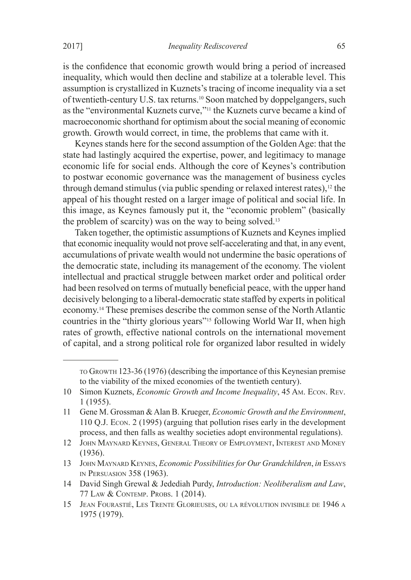is the confidence that economic growth would bring a period of increased inequality, which would then decline and stabilize at a tolerable level. This assumption is crystallized in Kuznets's tracing of income inequality via a set of twentieth-century U.S. tax returns.10 Soon matched by doppelgangers, such as the "environmental Kuznets curve,"11 the Kuznets curve became a kind of macroeconomic shorthand for optimism about the social meaning of economic growth. Growth would correct, in time, the problems that came with it.

Keynes stands here for the second assumption of the Golden Age: that the state had lastingly acquired the expertise, power, and legitimacy to manage economic life for social ends. Although the core of Keynes's contribution to postwar economic governance was the management of business cycles through demand stimulus (via public spending or relaxed interest rates),<sup>12</sup> the appeal of his thought rested on a larger image of political and social life. In this image, as Keynes famously put it, the "economic problem" (basically the problem of scarcity) was on the way to being solved.<sup>13</sup>

Taken together, the optimistic assumptions of Kuznets and Keynes implied that economic inequality would not prove self-accelerating and that, in any event, accumulations of private wealth would not undermine the basic operations of the democratic state, including its management of the economy. The violent intellectual and practical struggle between market order and political order had been resolved on terms of mutually beneficial peace, with the upper hand decisively belonging to a liberal-democratic state staffed by experts in political economy.14 These premises describe the common sense of the North Atlantic countries in the "thirty glorious years"<sup>15</sup> following World War II, when high rates of growth, effective national controls on the international movement of capital, and a strong political role for organized labor resulted in widely

- 12 John Maynard Keynes, General Theory of Employment, Interest and Money (1936).
- 13 John Maynard Keynes, *Economic Possibilities for Our Grandchildren*, *in* Essays in Persuasion 358 (1963).
- 14 David Singh Grewal & Jedediah Purdy, *Introduction: Neoliberalism and Law*, 77 Law & Contemp. Probs. 1 (2014).
- 15 Jean Fourastié, Les Trente Glorieuses, ou la révolution invisible de 1946 <sup>a</sup> 1975 (1979).

to Growth 123-36 (1976) (describing the importance of this Keynesian premise to the viability of the mixed economies of the twentieth century).

<sup>10</sup> Simon Kuznets, *Economic Growth and Income Inequality*, 45 Am. Econ. Rev. 1 (1955).

<sup>11</sup> Gene M. Grossman & Alan B. Krueger, *Economic Growth and the Environment*, 110 Q.J. Econ. 2 (1995) (arguing that pollution rises early in the development process, and then falls as wealthy societies adopt environmental regulations).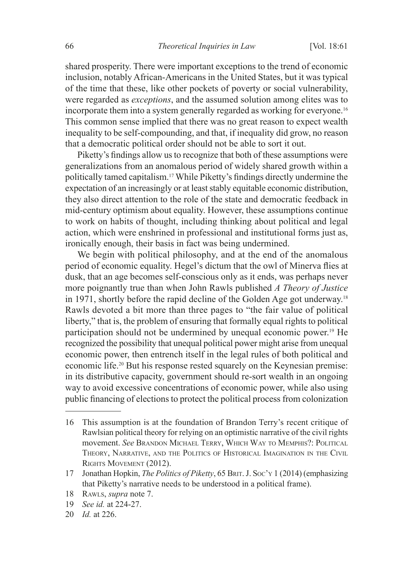shared prosperity. There were important exceptions to the trend of economic inclusion, notably African-Americans in the United States, but it was typical of the time that these, like other pockets of poverty or social vulnerability, were regarded as *exceptions*, and the assumed solution among elites was to incorporate them into a system generally regarded as working for everyone.16 This common sense implied that there was no great reason to expect wealth inequality to be self-compounding, and that, if inequality did grow, no reason that a democratic political order should not be able to sort it out.

Piketty's findings allow us to recognize that both of these assumptions were generalizations from an anomalous period of widely shared growth within a politically tamed capitalism.17 While Piketty's findings directly undermine the expectation of an increasingly or at least stably equitable economic distribution, they also direct attention to the role of the state and democratic feedback in mid-century optimism about equality. However, these assumptions continue to work on habits of thought, including thinking about political and legal action, which were enshrined in professional and institutional forms just as, ironically enough, their basis in fact was being undermined.

We begin with political philosophy, and at the end of the anomalous period of economic equality. Hegel's dictum that the owl of Minerva flies at dusk, that an age becomes self-conscious only as it ends, was perhaps never more poignantly true than when John Rawls published *A Theory of Justice* in 1971, shortly before the rapid decline of the Golden Age got underway.<sup>18</sup> Rawls devoted a bit more than three pages to "the fair value of political liberty," that is, the problem of ensuring that formally equal rights to political participation should not be undermined by unequal economic power.19 He recognized the possibility that unequal political power might arise from unequal economic power, then entrench itself in the legal rules of both political and economic life.20 But his response rested squarely on the Keynesian premise: in its distributive capacity, government should re-sort wealth in an ongoing way to avoid excessive concentrations of economic power, while also using public financing of elections to protect the political process from colonization

<sup>16</sup> This assumption is at the foundation of Brandon Terry's recent critique of Rawlsian political theory for relying on an optimistic narrative of the civil rights movement. *See* Brandon Michael Terry, Which Way to Memphis?: Political Theory, Narrative, and the Politics of Historical Imagination in the Civil RIGHTS MOVEMENT (2012).

<sup>17</sup> Jonathan Hopkin, *The Politics of Piketty*, 65 BRIT. J. Soc'y 1 (2014) (emphasizing that Piketty's narrative needs to be understood in a political frame).

<sup>18</sup> Rawls, *supra* note 7.

<sup>19</sup> *See id.* at 224-27.

<sup>20</sup> *Id.* at 226.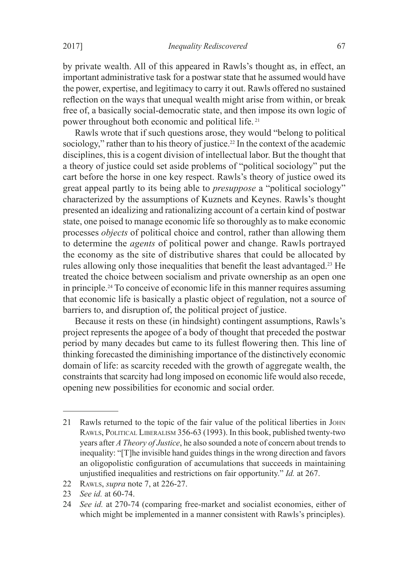by private wealth. All of this appeared in Rawls's thought as, in effect, an important administrative task for a postwar state that he assumed would have the power, expertise, and legitimacy to carry it out. Rawls offered no sustained reflection on the ways that unequal wealth might arise from within, or break free of, a basically social-democratic state, and then impose its own logic of power throughout both economic and political life. <sup>21</sup>

Rawls wrote that if such questions arose, they would "belong to political sociology," rather than to his theory of justice.<sup>22</sup> In the context of the academic disciplines, this is a cogent division of intellectual labor. But the thought that a theory of justice could set aside problems of "political sociology" put the cart before the horse in one key respect. Rawls's theory of justice owed its great appeal partly to its being able to *presuppose* a "political sociology" characterized by the assumptions of Kuznets and Keynes. Rawls's thought presented an idealizing and rationalizing account of a certain kind of postwar state, one poised to manage economic life so thoroughly as to make economic processes *objects* of political choice and control, rather than allowing them to determine the *agents* of political power and change. Rawls portrayed the economy as the site of distributive shares that could be allocated by rules allowing only those inequalities that benefit the least advantaged.23 He treated the choice between socialism and private ownership as an open one in principle.24 To conceive of economic life in this manner requires assuming that economic life is basically a plastic object of regulation, not a source of barriers to, and disruption of, the political project of justice.

Because it rests on these (in hindsight) contingent assumptions, Rawls's project represents the apogee of a body of thought that preceded the postwar period by many decades but came to its fullest flowering then. This line of thinking forecasted the diminishing importance of the distinctively economic domain of life: as scarcity receded with the growth of aggregate wealth, the constraints that scarcity had long imposed on economic life would also recede, opening new possibilities for economic and social order.

<sup>21</sup> Rawls returned to the topic of the fair value of the political liberties in John Rawls, Political Liberalism 356-63 (1993). In this book, published twenty-two years after *A Theory of Justice*, he also sounded a note of concern about trends to inequality: "[T]he invisible hand guides things in the wrong direction and favors an oligopolistic configuration of accumulations that succeeds in maintaining unjustified inequalities and restrictions on fair opportunity." *Id.* at 267.

<sup>22</sup> Rawls, *supra* note 7, at 226-27.

<sup>23</sup> *See id.* at 60-74.

<sup>24</sup> *See id.* at 270-74 (comparing free-market and socialist economies, either of which might be implemented in a manner consistent with Rawls's principles).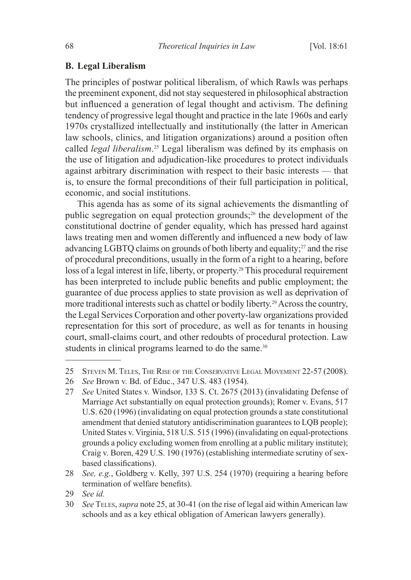# **B. Legal Liberalism**

The principles of postwar political liberalism, of which Rawls was perhaps the preeminent exponent, did not stay sequestered in philosophical abstraction but influenced a generation of legal thought and activism. The defining tendency of progressive legal thought and practice in the late 1960s and early 1970s crystallized intellectually and institutionally (the latter in American law schools, clinics, and litigation organizations) around a position often called *legal liberalism*. <sup>25</sup> Legal liberalism was defined by its emphasis on the use of litigation and adjudication-like procedures to protect individuals against arbitrary discrimination with respect to their basic interests — that is, to ensure the formal preconditions of their full participation in political, economic, and social institutions.

This agenda has as some of its signal achievements the dismantling of public segregation on equal protection grounds;26 the development of the constitutional doctrine of gender equality, which has pressed hard against laws treating men and women differently and influenced a new body of law advancing LGBTO claims on grounds of both liberty and equality;<sup>27</sup> and the rise of procedural preconditions, usually in the form of a right to a hearing, before loss of a legal interest in life, liberty, or property.<sup>28</sup> This procedural requirement has been interpreted to include public benefits and public employment; the guarantee of due process applies to state provision as well as deprivation of more traditional interests such as chattel or bodily liberty.29 Across the country, the Legal Services Corporation and other poverty-law organizations provided representation for this sort of procedure, as well as for tenants in housing court, small-claims court, and other redoubts of procedural protection. Law students in clinical programs learned to do the same.<sup>30</sup>

<sup>25</sup> Steven M. Teles, The Rise of the Conservative Legal Movement 22-57 (2008).

<sup>26</sup> *See* Brown v. Bd. of Educ., 347 U.S. 483 (1954).

<sup>27</sup> *See* United States v. Windsor, 133 S. Ct. 2675 (2013) (invalidating Defense of Marriage Act substantially on equal protection grounds); Romer v. Evans, 517 U.S. 620 (1996) (invalidating on equal protection grounds a state constitutional amendment that denied statutory antidiscrimination guarantees to LQB people); United States v. Virginia, 518 U.S. 515 (1996) (invalidating on equal-protections grounds a policy excluding women from enrolling at a public military institute); Craig v. Boren, 429 U.S. 190 (1976) (establishing intermediate scrutiny of sexbased classifications).

<sup>28</sup> *See, e.g.*, Goldberg v. Kelly, 397 U.S. 254 (1970) (requiring a hearing before termination of welfare benefits).

<sup>29</sup> *See id.*

<sup>30</sup> *See* TELES, *supra* note 25, at 30-41 (on the rise of legal aid within American law schools and as a key ethical obligation of American lawyers generally).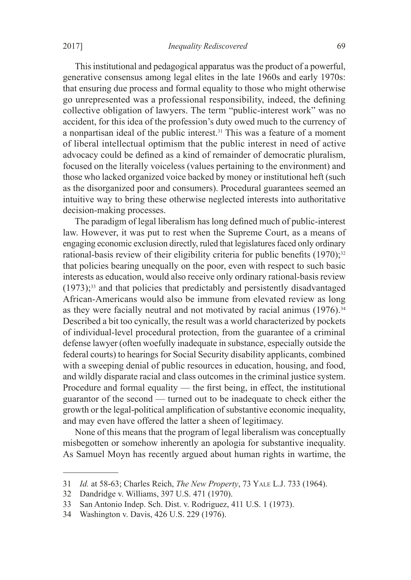This institutional and pedagogical apparatus was the product of a powerful, generative consensus among legal elites in the late 1960s and early 1970s: that ensuring due process and formal equality to those who might otherwise go unrepresented was a professional responsibility, indeed, the defining collective obligation of lawyers. The term "public-interest work" was no accident, for this idea of the profession's duty owed much to the currency of a nonpartisan ideal of the public interest.<sup>31</sup> This was a feature of a moment of liberal intellectual optimism that the public interest in need of active advocacy could be defined as a kind of remainder of democratic pluralism, focused on the literally voiceless (values pertaining to the environment) and those who lacked organized voice backed by money or institutional heft (such as the disorganized poor and consumers). Procedural guarantees seemed an intuitive way to bring these otherwise neglected interests into authoritative decision-making processes.

The paradigm of legal liberalism has long defined much of public-interest law. However, it was put to rest when the Supreme Court, as a means of engaging economic exclusion directly, ruled that legislatures faced only ordinary rational-basis review of their eligibility criteria for public benefits  $(1970)$ ;<sup>32</sup> that policies bearing unequally on the poor, even with respect to such basic interests as education, would also receive only ordinary rational-basis review  $(1973)$ ;<sup>33</sup> and that policies that predictably and persistently disadvantaged African-Americans would also be immune from elevated review as long as they were facially neutral and not motivated by racial animus  $(1976)^{34}$ Described a bit too cynically, the result was a world characterized by pockets of individual-level procedural protection, from the guarantee of a criminal defense lawyer (often woefully inadequate in substance, especially outside the federal courts) to hearings for Social Security disability applicants, combined with a sweeping denial of public resources in education, housing, and food, and wildly disparate racial and class outcomes in the criminal justice system. Procedure and formal equality — the first being, in effect, the institutional guarantor of the second — turned out to be inadequate to check either the growth or the legal-political amplification of substantive economic inequality, and may even have offered the latter a sheen of legitimacy.

None of this means that the program of legal liberalism was conceptually misbegotten or somehow inherently an apologia for substantive inequality. As Samuel Moyn has recently argued about human rights in wartime, the

<sup>31</sup> *Id.* at 58-63; Charles Reich, *The New Property*, 73 Yale L.J. 733 (1964).

<sup>32</sup> Dandridge v. Williams, 397 U.S. 471 (1970).

<sup>33</sup> San Antonio Indep. Sch. Dist. v. Rodriguez, 411 U.S. 1 (1973).

<sup>34</sup> Washington v. Davis, 426 U.S. 229 (1976).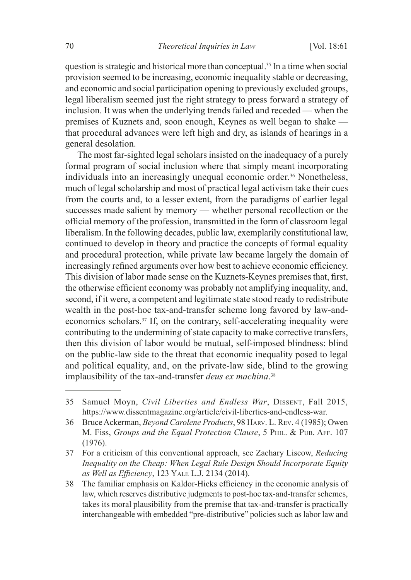question is strategic and historical more than conceptual.35 In a time when social provision seemed to be increasing, economic inequality stable or decreasing, and economic and social participation opening to previously excluded groups, legal liberalism seemed just the right strategy to press forward a strategy of inclusion. It was when the underlying trends failed and receded — when the premises of Kuznets and, soon enough, Keynes as well began to shake that procedural advances were left high and dry, as islands of hearings in a general desolation.

The most far-sighted legal scholars insisted on the inadequacy of a purely formal program of social inclusion where that simply meant incorporating individuals into an increasingly unequal economic order.<sup>36</sup> Nonetheless, much of legal scholarship and most of practical legal activism take their cues from the courts and, to a lesser extent, from the paradigms of earlier legal successes made salient by memory — whether personal recollection or the official memory of the profession, transmitted in the form of classroom legal liberalism. In the following decades, public law, exemplarily constitutional law, continued to develop in theory and practice the concepts of formal equality and procedural protection, while private law became largely the domain of increasingly refined arguments over how best to achieve economic efficiency. This division of labor made sense on the Kuznets-Keynes premises that, first, the otherwise efficient economy was probably not amplifying inequality, and, second, if it were, a competent and legitimate state stood ready to redistribute wealth in the post-hoc tax-and-transfer scheme long favored by law-andeconomics scholars.37 If, on the contrary, self-accelerating inequality were contributing to the undermining of state capacity to make corrective transfers, then this division of labor would be mutual, self-imposed blindness: blind on the public-law side to the threat that economic inequality posed to legal and political equality, and, on the private-law side, blind to the growing implausibility of the tax-and-transfer *deus ex machina*. 38

<sup>35</sup> Samuel Moyn, *Civil Liberties and Endless War*, Dissent, Fall 2015, https://www.dissentmagazine.org/article/civil-liberties-and-endless-war.

<sup>36</sup> Bruce Ackerman, *Beyond Carolene Products*, 98 Harv. L. Rev. 4 (1985); Owen M. Fiss, *Groups and the Equal Protection Clause*, 5 Phil. & Pub. Aff. 107 (1976).

<sup>37</sup> For a criticism of this conventional approach, see Zachary Liscow, *Reducing Inequality on the Cheap: When Legal Rule Design Should Incorporate Equity as Well as Efficiency*, 123 Yale L.J. 2134 (2014).

<sup>38</sup> The familiar emphasis on Kaldor-Hicks efficiency in the economic analysis of law, which reserves distributive judgments to post-hoc tax-and-transfer schemes, takes its moral plausibility from the premise that tax-and-transfer is practically interchangeable with embedded "pre-distributive" policies such as labor law and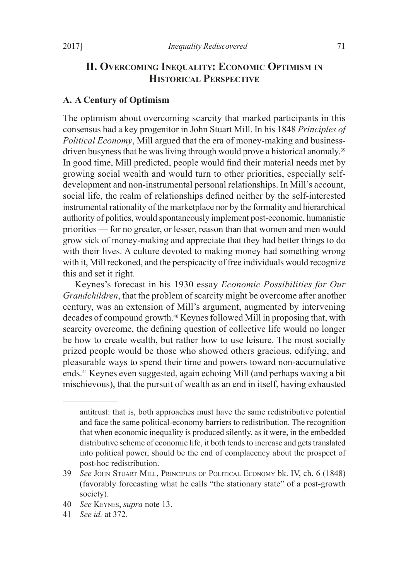# **II. Overcoming Inequality: Economic Optimism in Historical Perspective**

# **A. A Century of Optimism**

The optimism about overcoming scarcity that marked participants in this consensus had a key progenitor in John Stuart Mill. In his 1848 *Principles of Political Economy*, Mill argued that the era of money-making and businessdriven busyness that he was living through would prove a historical anomaly.39 In good time, Mill predicted, people would find their material needs met by growing social wealth and would turn to other priorities, especially selfdevelopment and non-instrumental personal relationships. In Mill's account, social life, the realm of relationships defined neither by the self-interested instrumental rationality of the marketplace nor by the formality and hierarchical authority of politics, would spontaneously implement post-economic, humanistic priorities — for no greater, or lesser, reason than that women and men would grow sick of money-making and appreciate that they had better things to do with their lives. A culture devoted to making money had something wrong with it, Mill reckoned, and the perspicacity of free individuals would recognize this and set it right.

Keynes's forecast in his 1930 essay *Economic Possibilities for Our Grandchildren*, that the problem of scarcity might be overcome after another century, was an extension of Mill's argument, augmented by intervening decades of compound growth.40 Keynes followed Mill in proposing that, with scarcity overcome, the defining question of collective life would no longer be how to create wealth, but rather how to use leisure. The most socially prized people would be those who showed others gracious, edifying, and pleasurable ways to spend their time and powers toward non-accumulative ends.41 Keynes even suggested, again echoing Mill (and perhaps waxing a bit mischievous), that the pursuit of wealth as an end in itself, having exhausted

40 *See* Keynes, *supra* note 13.

antitrust: that is, both approaches must have the same redistributive potential and face the same political-economy barriers to redistribution. The recognition that when economic inequality is produced silently, as it were, in the embedded distributive scheme of economic life, it both tends to increase and gets translated into political power, should be the end of complacency about the prospect of post-hoc redistribution.

<sup>39</sup> *See* John Stuart Mill, Principles of Political Economy bk. IV, ch. 6 (1848) (favorably forecasting what he calls "the stationary state" of a post-growth society).

<sup>41</sup> *See id.* at 372.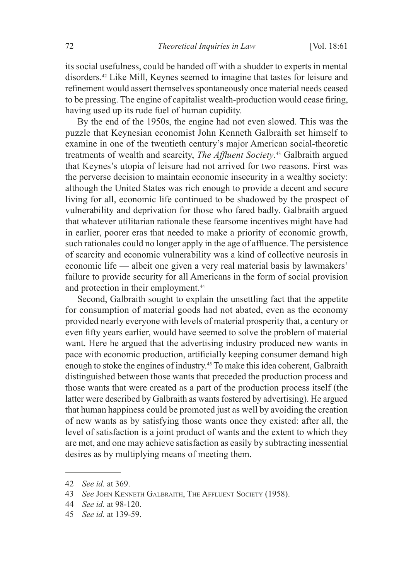its social usefulness, could be handed off with a shudder to experts in mental disorders.42 Like Mill, Keynes seemed to imagine that tastes for leisure and refinement would assert themselves spontaneously once material needs ceased to be pressing. The engine of capitalist wealth-production would cease firing, having used up its rude fuel of human cupidity.

By the end of the 1950s, the engine had not even slowed. This was the puzzle that Keynesian economist John Kenneth Galbraith set himself to examine in one of the twentieth century's major American social-theoretic treatments of wealth and scarcity, *The Affluent Society*. 43 Galbraith argued that Keynes's utopia of leisure had not arrived for two reasons. First was the perverse decision to maintain economic insecurity in a wealthy society: although the United States was rich enough to provide a decent and secure living for all, economic life continued to be shadowed by the prospect of vulnerability and deprivation for those who fared badly. Galbraith argued that whatever utilitarian rationale these fearsome incentives might have had in earlier, poorer eras that needed to make a priority of economic growth, such rationales could no longer apply in the age of affluence. The persistence of scarcity and economic vulnerability was a kind of collective neurosis in economic life — albeit one given a very real material basis by lawmakers' failure to provide security for all Americans in the form of social provision and protection in their employment.<sup>44</sup>

Second, Galbraith sought to explain the unsettling fact that the appetite for consumption of material goods had not abated, even as the economy provided nearly everyone with levels of material prosperity that, a century or even fifty years earlier, would have seemed to solve the problem of material want. Here he argued that the advertising industry produced new wants in pace with economic production, artificially keeping consumer demand high enough to stoke the engines of industry.45 To make this idea coherent, Galbraith distinguished between those wants that preceded the production process and those wants that were created as a part of the production process itself (the latter were described by Galbraith as wants fostered by advertising). He argued that human happiness could be promoted just as well by avoiding the creation of new wants as by satisfying those wants once they existed: after all, the level of satisfaction is a joint product of wants and the extent to which they are met, and one may achieve satisfaction as easily by subtracting inessential desires as by multiplying means of meeting them.

<sup>42</sup> *See id.* at 369.

<sup>43</sup> *See* John Kenneth Galbraith, The Affluent Society (1958).

<sup>44</sup> *See id.* at 98-120.

<sup>45</sup> *See id.* at 139-59.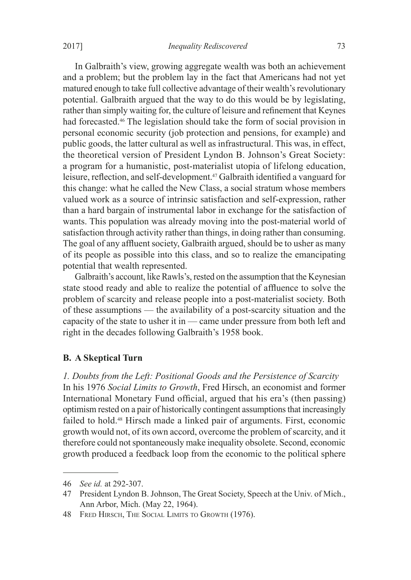In Galbraith's view, growing aggregate wealth was both an achievement and a problem; but the problem lay in the fact that Americans had not yet matured enough to take full collective advantage of their wealth's revolutionary potential. Galbraith argued that the way to do this would be by legislating, rather than simply waiting for, the culture of leisure and refinement that Keynes had forecasted.46 The legislation should take the form of social provision in personal economic security (job protection and pensions, for example) and public goods, the latter cultural as well as infrastructural. This was, in effect, the theoretical version of President Lyndon B. Johnson's Great Society: a program for a humanistic, post-materialist utopia of lifelong education, leisure, reflection, and self-development.47 Galbraith identified a vanguard for this change: what he called the New Class, a social stratum whose members valued work as a source of intrinsic satisfaction and self-expression, rather than a hard bargain of instrumental labor in exchange for the satisfaction of wants. This population was already moving into the post-material world of satisfaction through activity rather than things, in doing rather than consuming. The goal of any affluent society, Galbraith argued, should be to usher as many of its people as possible into this class, and so to realize the emancipating potential that wealth represented.

Galbraith's account, like Rawls's, rested on the assumption that the Keynesian state stood ready and able to realize the potential of affluence to solve the problem of scarcity and release people into a post-materialist society. Both of these assumptions — the availability of a post-scarcity situation and the capacity of the state to usher it in — came under pressure from both left and right in the decades following Galbraith's 1958 book.

## **B. A Skeptical Turn**

*1. Doubts from the Left: Positional Goods and the Persistence of Scarcity* In his 1976 *Social Limits to Growth*, Fred Hirsch, an economist and former International Monetary Fund official, argued that his era's (then passing) optimism rested on a pair of historically contingent assumptions that increasingly failed to hold.48 Hirsch made a linked pair of arguments. First, economic growth would not, of its own accord, overcome the problem of scarcity, and it therefore could not spontaneously make inequality obsolete. Second, economic growth produced a feedback loop from the economic to the political sphere

<sup>46</sup> *See id.* at 292-307.

<sup>47</sup> President Lyndon B. Johnson, The Great Society, Speech at the Univ. of Mich., Ann Arbor, Mich. (May 22, 1964).

<sup>48</sup> Fred Hirsch, The Social Limits to Growth (1976).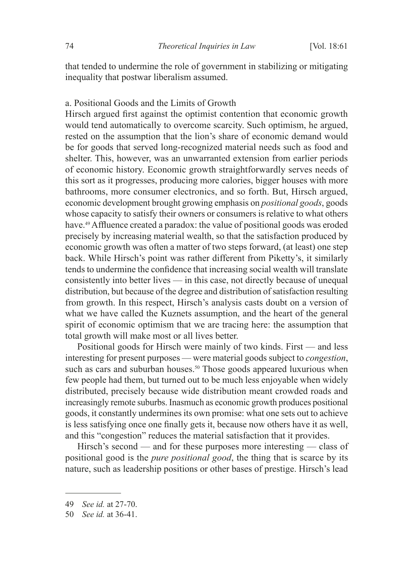that tended to undermine the role of government in stabilizing or mitigating inequality that postwar liberalism assumed.

## a. Positional Goods and the Limits of Growth

Hirsch argued first against the optimist contention that economic growth would tend automatically to overcome scarcity. Such optimism, he argued, rested on the assumption that the lion's share of economic demand would be for goods that served long-recognized material needs such as food and shelter. This, however, was an unwarranted extension from earlier periods of economic history. Economic growth straightforwardly serves needs of this sort as it progresses, producing more calories, bigger houses with more bathrooms, more consumer electronics, and so forth. But, Hirsch argued, economic development brought growing emphasis on *positional goods*, goods whose capacity to satisfy their owners or consumers is relative to what others have.49 Affluence created a paradox: the value of positional goods was eroded precisely by increasing material wealth, so that the satisfaction produced by economic growth was often a matter of two steps forward, (at least) one step back. While Hirsch's point was rather different from Piketty's, it similarly tends to undermine the confidence that increasing social wealth will translate consistently into better lives — in this case, not directly because of unequal distribution, but because of the degree and distribution of satisfaction resulting from growth. In this respect, Hirsch's analysis casts doubt on a version of what we have called the Kuznets assumption, and the heart of the general spirit of economic optimism that we are tracing here: the assumption that total growth will make most or all lives better.

Positional goods for Hirsch were mainly of two kinds. First — and less interesting for present purposes — were material goods subject to *congestion*, such as cars and suburban houses.<sup>50</sup> Those goods appeared luxurious when few people had them, but turned out to be much less enjoyable when widely distributed, precisely because wide distribution meant crowded roads and increasingly remote suburbs. Inasmuch as economic growth produces positional goods, it constantly undermines its own promise: what one sets out to achieve is less satisfying once one finally gets it, because now others have it as well, and this "congestion" reduces the material satisfaction that it provides.

Hirsch's second — and for these purposes more interesting — class of positional good is the *pure positional good*, the thing that is scarce by its nature, such as leadership positions or other bases of prestige. Hirsch's lead

<sup>49</sup> *See id.* at 27-70.

<sup>50</sup> *See id.* at 36-41.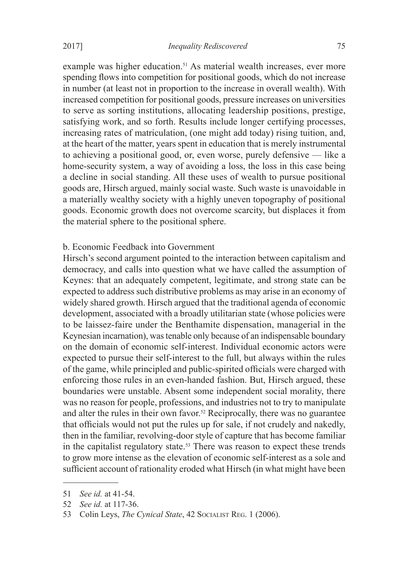example was higher education.<sup>51</sup> As material wealth increases, ever more spending flows into competition for positional goods, which do not increase in number (at least not in proportion to the increase in overall wealth). With increased competition for positional goods, pressure increases on universities to serve as sorting institutions, allocating leadership positions, prestige, satisfying work, and so forth. Results include longer certifying processes, increasing rates of matriculation, (one might add today) rising tuition, and, at the heart of the matter, years spent in education that is merely instrumental to achieving a positional good, or, even worse, purely defensive — like a home-security system, a way of avoiding a loss, the loss in this case being a decline in social standing. All these uses of wealth to pursue positional goods are, Hirsch argued, mainly social waste. Such waste is unavoidable in a materially wealthy society with a highly uneven topography of positional goods. Economic growth does not overcome scarcity, but displaces it from the material sphere to the positional sphere.

# b. Economic Feedback into Government

Hirsch's second argument pointed to the interaction between capitalism and democracy, and calls into question what we have called the assumption of Keynes: that an adequately competent, legitimate, and strong state can be expected to address such distributive problems as may arise in an economy of widely shared growth. Hirsch argued that the traditional agenda of economic development, associated with a broadly utilitarian state (whose policies were to be laissez-faire under the Benthamite dispensation, managerial in the Keynesian incarnation), was tenable only because of an indispensable boundary on the domain of economic self-interest. Individual economic actors were expected to pursue their self-interest to the full, but always within the rules of the game, while principled and public-spirited officials were charged with enforcing those rules in an even-handed fashion. But, Hirsch argued, these boundaries were unstable. Absent some independent social morality, there was no reason for people, professions, and industries not to try to manipulate and alter the rules in their own favor.<sup>52</sup> Reciprocally, there was no guarantee that officials would not put the rules up for sale, if not crudely and nakedly, then in the familiar, revolving-door style of capture that has become familiar in the capitalist regulatory state.<sup>53</sup> There was reason to expect these trends to grow more intense as the elevation of economic self-interest as a sole and sufficient account of rationality eroded what Hirsch (in what might have been

<sup>51</sup> *See id.* at 41-54.

<sup>52</sup> *See id.* at 117-36.

<sup>53</sup> Colin Leys, *The Cynical State*, 42 Socialist Reg. 1 (2006).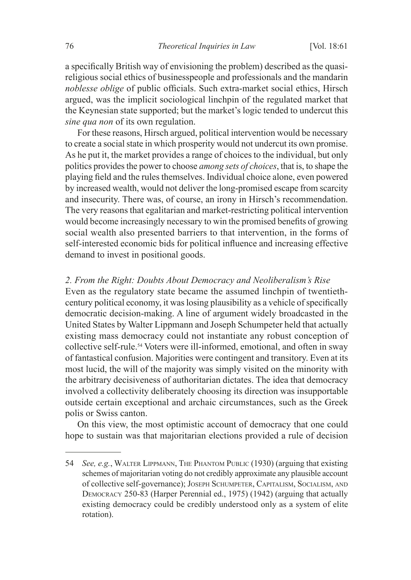a specifically British way of envisioning the problem) described as the quasireligious social ethics of businesspeople and professionals and the mandarin *noblesse oblige* of public officials. Such extra-market social ethics, Hirsch argued, was the implicit sociological linchpin of the regulated market that the Keynesian state supported; but the market's logic tended to undercut this *sine qua non* of its own regulation.

For these reasons, Hirsch argued, political intervention would be necessary to create a social state in which prosperity would not undercut its own promise. As he put it, the market provides a range of choices to the individual, but only politics provides the power to choose *among sets of choices*, that is, to shape the playing field and the rules themselves. Individual choice alone, even powered by increased wealth, would not deliver the long-promised escape from scarcity and insecurity. There was, of course, an irony in Hirsch's recommendation. The very reasons that egalitarian and market-restricting political intervention would become increasingly necessary to win the promised benefits of growing social wealth also presented barriers to that intervention, in the forms of self-interested economic bids for political influence and increasing effective demand to invest in positional goods.

#### *2. From the Right: Doubts About Democracy and Neoliberalism's Rise*

Even as the regulatory state became the assumed linchpin of twentiethcentury political economy, it was losing plausibility as a vehicle of specifically democratic decision-making. A line of argument widely broadcasted in the United States by Walter Lippmann and Joseph Schumpeter held that actually existing mass democracy could not instantiate any robust conception of collective self-rule.54 Voters were ill-informed, emotional, and often in sway of fantastical confusion. Majorities were contingent and transitory. Even at its most lucid, the will of the majority was simply visited on the minority with the arbitrary decisiveness of authoritarian dictates. The idea that democracy involved a collectivity deliberately choosing its direction was insupportable outside certain exceptional and archaic circumstances, such as the Greek polis or Swiss canton.

On this view, the most optimistic account of democracy that one could hope to sustain was that majoritarian elections provided a rule of decision

<sup>54</sup> *See, e.g.*, Walter Lippmann, The Phantom Public (1930) (arguing that existing schemes of majoritarian voting do not credibly approximate any plausible account of collective self-governance); Joseph Schumpeter, Capitalism, Socialism, and Democracy 250-83 (Harper Perennial ed., 1975) (1942) (arguing that actually existing democracy could be credibly understood only as a system of elite rotation).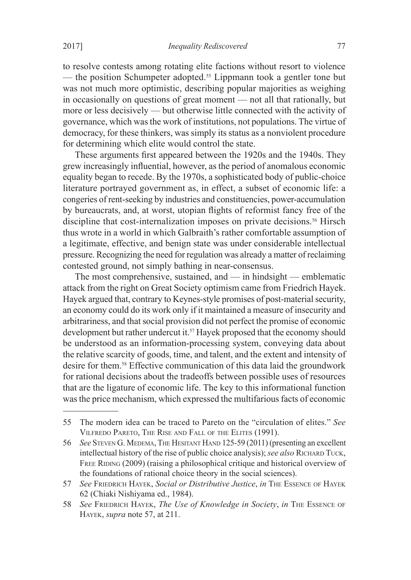to resolve contests among rotating elite factions without resort to violence — the position Schumpeter adopted.<sup>55</sup> Lippmann took a gentler tone but was not much more optimistic, describing popular majorities as weighing in occasionally on questions of great moment — not all that rationally, but more or less decisively — but otherwise little connected with the activity of governance, which was the work of institutions, not populations. The virtue of democracy, for these thinkers, was simply its status as a nonviolent procedure for determining which elite would control the state.

These arguments first appeared between the 1920s and the 1940s. They grew increasingly influential, however, as the period of anomalous economic equality began to recede. By the 1970s, a sophisticated body of public-choice literature portrayed government as, in effect, a subset of economic life: a congeries of rent-seeking by industries and constituencies, power-accumulation by bureaucrats, and, at worst, utopian flights of reformist fancy free of the discipline that cost-internalization imposes on private decisions.<sup>56</sup> Hirsch thus wrote in a world in which Galbraith's rather comfortable assumption of a legitimate, effective, and benign state was under considerable intellectual pressure. Recognizing the need for regulation was already a matter of reclaiming contested ground, not simply bathing in near-consensus.

The most comprehensive, sustained, and — in hindsight — emblematic attack from the right on Great Society optimism came from Friedrich Hayek. Hayek argued that, contrary to Keynes-style promises of post-material security, an economy could do its work only if it maintained a measure of insecurity and arbitrariness, and that social provision did not perfect the promise of economic development but rather undercut it.<sup>57</sup> Hayek proposed that the economy should be understood as an information-processing system, conveying data about the relative scarcity of goods, time, and talent, and the extent and intensity of desire for them.58 Effective communication of this data laid the groundwork for rational decisions about the tradeoffs between possible uses of resources that are the ligature of economic life. The key to this informational function was the price mechanism, which expressed the multifarious facts of economic

<sup>55</sup> The modern idea can be traced to Pareto on the "circulation of elites." *See* Vilfredo Pareto, The Rise and Fall of the Elites (1991).

<sup>56</sup> *See* Steven G. Medema, The Hesitant Hand 125-59 (2011) (presenting an excellent intellectual history of the rise of public choice analysis); *see also* RICHARD TUCK, FREE RIDING (2009) (raising a philosophical critique and historical overview of the foundations of rational choice theory in the social sciences).

<sup>57</sup> *See* Friedrich Hayek, *Social or Distributive Justice*, *in* The Essence of Hayek 62 (Chiaki Nishiyama ed., 1984).

<sup>58</sup> *See* Friedrich Hayek, *The Use of Knowledge in Society*, *in* The Essence of Hayek, *supra* note 57, at 211.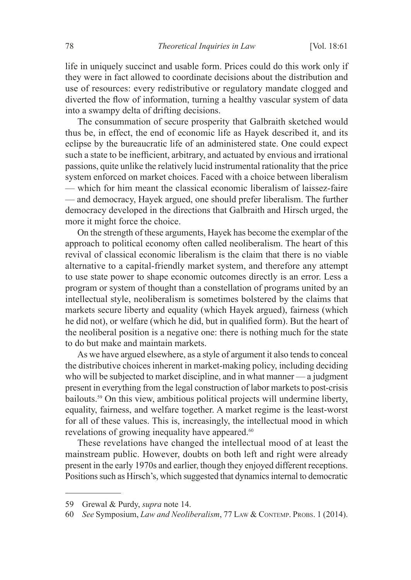life in uniquely succinct and usable form. Prices could do this work only if they were in fact allowed to coordinate decisions about the distribution and use of resources: every redistributive or regulatory mandate clogged and diverted the flow of information, turning a healthy vascular system of data into a swampy delta of drifting decisions.

The consummation of secure prosperity that Galbraith sketched would thus be, in effect, the end of economic life as Hayek described it, and its eclipse by the bureaucratic life of an administered state. One could expect such a state to be inefficient, arbitrary, and actuated by envious and irrational passions, quite unlike the relatively lucid instrumental rationality that the price system enforced on market choices. Faced with a choice between liberalism — which for him meant the classical economic liberalism of laissez-faire — and democracy, Hayek argued, one should prefer liberalism. The further democracy developed in the directions that Galbraith and Hirsch urged, the more it might force the choice.

On the strength of these arguments, Hayek has become the exemplar of the approach to political economy often called neoliberalism. The heart of this revival of classical economic liberalism is the claim that there is no viable alternative to a capital-friendly market system, and therefore any attempt to use state power to shape economic outcomes directly is an error. Less a program or system of thought than a constellation of programs united by an intellectual style, neoliberalism is sometimes bolstered by the claims that markets secure liberty and equality (which Hayek argued), fairness (which he did not), or welfare (which he did, but in qualified form). But the heart of the neoliberal position is a negative one: there is nothing much for the state to do but make and maintain markets.

As we have argued elsewhere, as a style of argument it also tends to conceal the distributive choices inherent in market-making policy, including deciding who will be subjected to market discipline, and in what manner — a judgment present in everything from the legal construction of labor markets to post-crisis bailouts.59 On this view, ambitious political projects will undermine liberty, equality, fairness, and welfare together. A market regime is the least-worst for all of these values. This is, increasingly, the intellectual mood in which revelations of growing inequality have appeared.<sup>60</sup>

These revelations have changed the intellectual mood of at least the mainstream public. However, doubts on both left and right were already present in the early 1970s and earlier, though they enjoyed different receptions. Positions such as Hirsch's, which suggested that dynamics internal to democratic

<sup>59</sup> Grewal & Purdy, *supra* note 14.

<sup>60</sup> *See* Symposium, *Law and Neoliberalism*, 77 Law & Contemp. Probs. 1 (2014).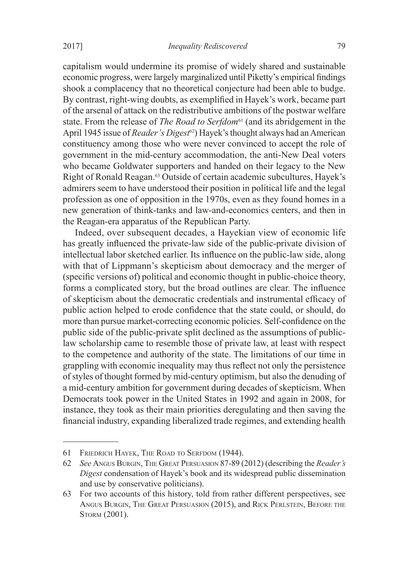capitalism would undermine its promise of widely shared and sustainable economic progress, were largely marginalized until Piketty's empirical findings shook a complacency that no theoretical conjecture had been able to budge. By contrast, right-wing doubts, as exemplified in Hayek's work, became part of the arsenal of attack on the redistributive ambitions of the postwar welfare state. From the release of *The Road to Serfdom*<sup>61</sup> (and its abridgement in the April 1945 issue of *Reader's Digest<sup>62</sup>*) Hayek's thought always had an American constituency among those who were never convinced to accept the role of government in the mid-century accommodation, the anti-New Deal voters who became Goldwater supporters and handed on their legacy to the New Right of Ronald Reagan.<sup>63</sup> Outside of certain academic subcultures, Hayek's admirers seem to have understood their position in political life and the legal profession as one of opposition in the 1970s, even as they found homes in a new generation of think-tanks and law-and-economics centers, and then in the Reagan-era apparatus of the Republican Party.

Indeed, over subsequent decades, a Hayekian view of economic life has greatly influenced the private-law side of the public-private division of intellectual labor sketched earlier. Its influence on the public-law side, along with that of Lippmann's skepticism about democracy and the merger of (specific versions of) political and economic thought in public-choice theory, forms a complicated story, but the broad outlines are clear. The influence of skepticism about the democratic credentials and instrumental efficacy of public action helped to erode confidence that the state could, or should, do more than pursue market-correcting economic policies. Self-confidence on the public side of the public-private split declined as the assumptions of publiclaw scholarship came to resemble those of private law, at least with respect to the competence and authority of the state. The limitations of our time in grappling with economic inequality may thus reflect not only the persistence of styles of thought formed by mid-century optimism, but also the denuding of a mid-century ambition for government during decades of skepticism. When Democrats took power in the United States in 1992 and again in 2008, for instance, they took as their main priorities deregulating and then saving the financial industry, expanding liberalized trade regimes, and extending health

<sup>61</sup> Friedrich Hayek, The Road to Serfdom (1944).

<sup>62</sup> *See* Angus Burgin, The Great Persuasion 87-89 (2012) (describing the *Reader's Digest* condensation of Hayek's book and its widespread public dissemination and use by conservative politicians).

<sup>63</sup> For two accounts of this history, told from rather different perspectives, see ANGUS BURGIN, THE GREAT PERSUASION (2015), and RICK PERLSTEIN, BEFORE THE Storm (2001).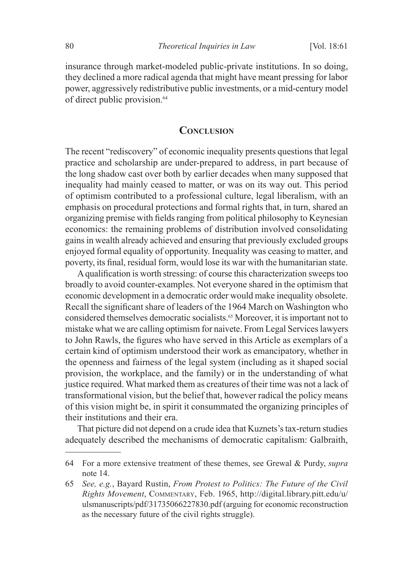insurance through market-modeled public-private institutions. In so doing, they declined a more radical agenda that might have meant pressing for labor power, aggressively redistributive public investments, or a mid-century model of direct public provision.<sup>64</sup>

# **Conclusion**

The recent "rediscovery" of economic inequality presents questions that legal practice and scholarship are under-prepared to address, in part because of the long shadow cast over both by earlier decades when many supposed that inequality had mainly ceased to matter, or was on its way out. This period of optimism contributed to a professional culture, legal liberalism, with an emphasis on procedural protections and formal rights that, in turn, shared an organizing premise with fields ranging from political philosophy to Keynesian economics: the remaining problems of distribution involved consolidating gains in wealth already achieved and ensuring that previously excluded groups enjoyed formal equality of opportunity. Inequality was ceasing to matter, and poverty, its final, residual form, would lose its war with the humanitarian state.

A qualification is worth stressing: of course this characterization sweeps too broadly to avoid counter-examples. Not everyone shared in the optimism that economic development in a democratic order would make inequality obsolete. Recall the significant share of leaders of the 1964 March on Washington who considered themselves democratic socialists.65 Moreover, it is important not to mistake what we are calling optimism for naivete. From Legal Services lawyers to John Rawls, the figures who have served in this Article as exemplars of a certain kind of optimism understood their work as emancipatory, whether in the openness and fairness of the legal system (including as it shaped social provision, the workplace, and the family) or in the understanding of what justice required. What marked them as creatures of their time was not a lack of transformational vision, but the belief that, however radical the policy means of this vision might be, in spirit it consummated the organizing principles of their institutions and their era.

That picture did not depend on a crude idea that Kuznets's tax-return studies adequately described the mechanisms of democratic capitalism: Galbraith,

<sup>64</sup> For a more extensive treatment of these themes, see Grewal & Purdy, *supra* note 14.

<sup>65</sup> *See, e.g.*, Bayard Rustin, *From Protest to Politics: The Future of the Civil Rights Movement*, Commentary, Feb. 1965, http://digital.library.pitt.edu/u/ ulsmanuscripts/pdf/31735066227830.pdf (arguing for economic reconstruction as the necessary future of the civil rights struggle).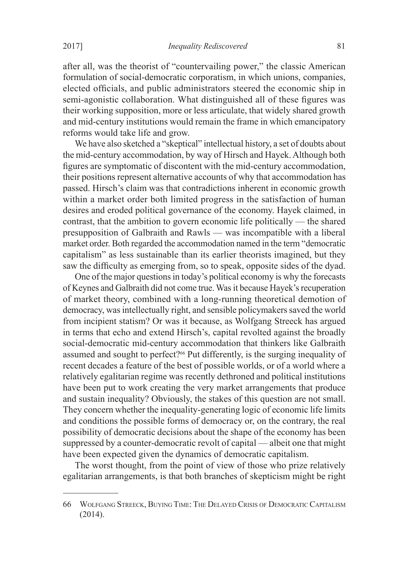after all, was the theorist of "countervailing power," the classic American formulation of social-democratic corporatism, in which unions, companies, elected officials, and public administrators steered the economic ship in semi-agonistic collaboration. What distinguished all of these figures was their working supposition, more or less articulate, that widely shared growth and mid-century institutions would remain the frame in which emancipatory reforms would take life and grow.

We have also sketched a "skeptical" intellectual history, a set of doubts about the mid-century accommodation, by way of Hirsch and Hayek. Although both figures are symptomatic of discontent with the mid-century accommodation, their positions represent alternative accounts of why that accommodation has passed. Hirsch's claim was that contradictions inherent in economic growth within a market order both limited progress in the satisfaction of human desires and eroded political governance of the economy. Hayek claimed, in contrast, that the ambition to govern economic life politically — the shared presupposition of Galbraith and Rawls — was incompatible with a liberal market order. Both regarded the accommodation named in the term "democratic capitalism" as less sustainable than its earlier theorists imagined, but they saw the difficulty as emerging from, so to speak, opposite sides of the dyad.

One of the major questions in today's political economy is why the forecasts of Keynes and Galbraith did not come true. Was it because Hayek's recuperation of market theory, combined with a long-running theoretical demotion of democracy, was intellectually right, and sensible policymakers saved the world from incipient statism? Or was it because, as Wolfgang Streeck has argued in terms that echo and extend Hirsch's, capital revolted against the broadly social-democratic mid-century accommodation that thinkers like Galbraith assumed and sought to perfect?<sup>66</sup> Put differently, is the surging inequality of recent decades a feature of the best of possible worlds, or of a world where a relatively egalitarian regime was recently dethroned and political institutions have been put to work creating the very market arrangements that produce and sustain inequality? Obviously, the stakes of this question are not small. They concern whether the inequality-generating logic of economic life limits and conditions the possible forms of democracy or, on the contrary, the real possibility of democratic decisions about the shape of the economy has been suppressed by a counter-democratic revolt of capital — albeit one that might have been expected given the dynamics of democratic capitalism.

The worst thought, from the point of view of those who prize relatively egalitarian arrangements, is that both branches of skepticism might be right

<sup>66</sup> Wolfgang Streeck, Buying Time: The Delayed Crisis of Democratic Capitalism (2014).